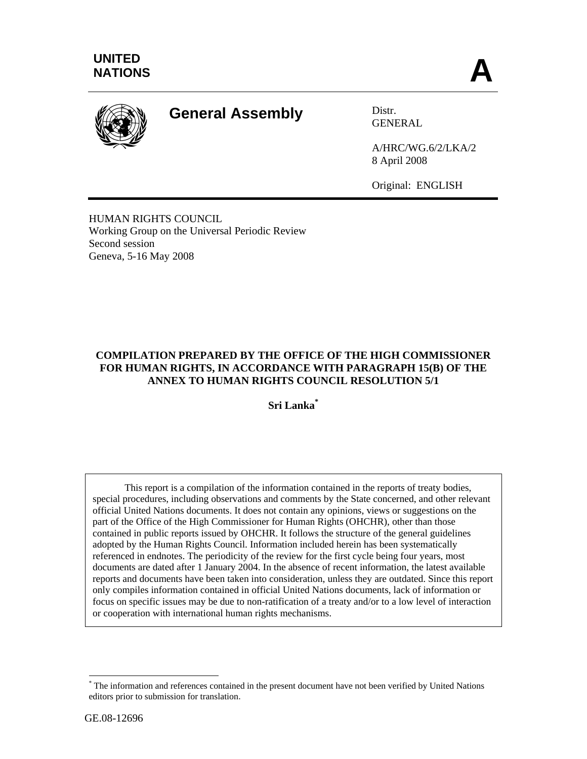

# **General Assembly** Distr.

GENERAL

A/HRC/WG.6/2/LKA/2 8 April 2008

Original: ENGLISH

HUMAN RIGHTS COUNCIL Working Group on the Universal Periodic Review Second session Geneva, 5-16 May 2008

# **COMPILATION PREPARED BY THE OFFICE OF THE HIGH COMMISSIONER FOR HUMAN RIGHTS, IN ACCORDANCE WITH PARAGRAPH 15(B) OF THE ANNEX TO HUMAN RIGHTS COUNCIL RESOLUTION 5/1**

**Sri Lanka\***

 This report is a compilation of the information contained in the reports of treaty bodies, special procedures, including observations and comments by the State concerned, and other relevant official United Nations documents. It does not contain any opinions, views or suggestions on the part of the Office of the High Commissioner for Human Rights (OHCHR), other than those contained in public reports issued by OHCHR. It follows the structure of the general guidelines adopted by the Human Rights Council. Information included herein has been systematically referenced in endnotes. The periodicity of the review for the first cycle being four years, most documents are dated after 1 January 2004. In the absence of recent information, the latest available reports and documents have been taken into consideration, unless they are outdated. Since this report only compiles information contained in official United Nations documents, lack of information or focus on specific issues may be due to non-ratification of a treaty and/or to a low level of interaction or cooperation with international human rights mechanisms.

 $\overline{a}$ 

<sup>\*</sup> The information and references contained in the present document have not been verified by United Nations editors prior to submission for translation.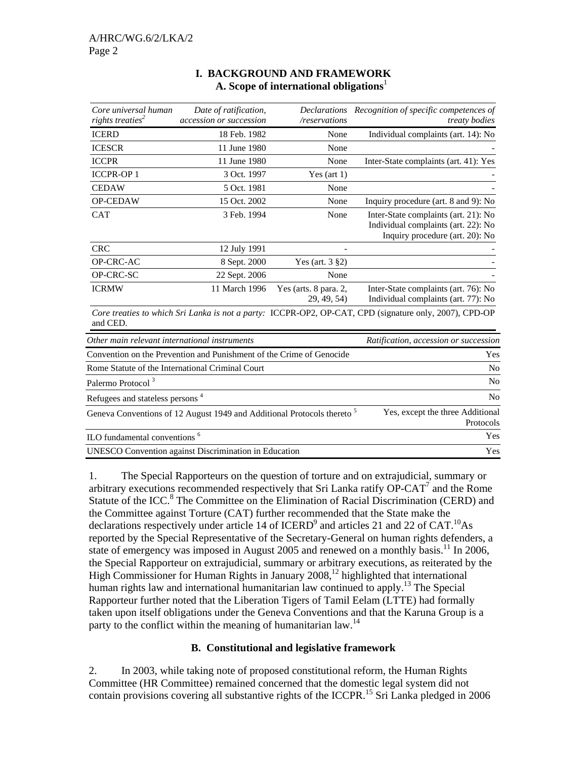| Core universal human<br>rights treaties <sup>2</sup> | Date of ratification,<br>accession or succession                                   | /reservations                        | Declarations Recognition of specific competences of<br>treaty bodies                                           |
|------------------------------------------------------|------------------------------------------------------------------------------------|--------------------------------------|----------------------------------------------------------------------------------------------------------------|
| <b>ICERD</b>                                         | 18 Feb. 1982                                                                       | None                                 | Individual complaints (art. 14): No                                                                            |
| <b>ICESCR</b>                                        | 11 June 1980                                                                       | None                                 |                                                                                                                |
| <b>ICCPR</b>                                         | 11 June 1980                                                                       | None                                 | Inter-State complaints (art. 41): Yes                                                                          |
| <b>ICCPR-OP1</b>                                     | 3 Oct. 1997                                                                        | Yes (art $1$ )                       |                                                                                                                |
| <b>CEDAW</b>                                         | 5 Oct. 1981                                                                        | None                                 |                                                                                                                |
| OP-CEDAW                                             | 15 Oct. 2002                                                                       | None                                 | Inquiry procedure (art. 8 and 9): No                                                                           |
| <b>CAT</b>                                           | 3 Feb. 1994                                                                        | None                                 | Inter-State complaints (art. 21): No<br>Individual complaints (art. 22): No<br>Inquiry procedure (art. 20): No |
| <b>CRC</b>                                           | 12 July 1991                                                                       |                                      |                                                                                                                |
| OP-CRC-AC                                            | 8 Sept. 2000                                                                       | Yes (art. 3 §2)                      |                                                                                                                |
| OP-CRC-SC                                            | 22 Sept. 2006                                                                      | None                                 |                                                                                                                |
| <b>ICRMW</b>                                         | 11 March 1996                                                                      | Yes (arts. 8 para. 2,<br>29, 49, 54) | Inter-State complaints (art. 76): No<br>Individual complaints (art. 77): No                                    |
| and CED.                                             |                                                                                    |                                      | Core treaties to which Sri Lanka is not a party: ICCPR-OP2, OP-CAT, CPD (signature only, 2007), CPD-OP         |
| Other main relevant international instruments        |                                                                                    |                                      | Ratification, accession or succession                                                                          |
|                                                      | Convention on the Prevention and Punishment of the Crime of Genocide               |                                      | Yes                                                                                                            |
|                                                      | Rome Statute of the International Criminal Court                                   |                                      | N <sub>o</sub>                                                                                                 |
| Palermo Protocol <sup>3</sup>                        |                                                                                    |                                      | N <sub>0</sub>                                                                                                 |
| Refugees and stateless persons <sup>4</sup>          |                                                                                    |                                      | N <sub>o</sub>                                                                                                 |
|                                                      | Geneva Conventions of 12 August 1949 and Additional Protocols thereto <sup>5</sup> |                                      | Yes, except the three Additional<br>Protocols                                                                  |
| ILO fundamental conventions <sup>6</sup>             |                                                                                    |                                      | Yes                                                                                                            |
|                                                      | <b>UNESCO</b> Convention against Discrimination in Education                       |                                      | Yes                                                                                                            |

# **I. BACKGROUND AND FRAMEWORK A. Scope of international obligations**<sup>1</sup>

1. The Special Rapporteurs on the question of torture and on extrajudicial, summary or arbitrary executions recommended respectively that Sri Lanka ratify  $\overrightarrow{OP-CAT}$  and the Rome Statute of the ICC.<sup>8</sup> The Committee on the Elimination of Racial Discrimination (CERD) and the Committee against Torture (CAT) further recommended that the State make the declarations respectively under article 14 of ICERD<sup>9</sup> and articles 21 and 22 of CAT.<sup>10</sup>As reported by the Special Representative of the Secretary-General on human rights defenders, a state of emergency was imposed in August 2005 and renewed on a monthly basis.<sup>11</sup> In 2006, the Special Rapporteur on extrajudicial, summary or arbitrary executions, as reiterated by the High Commissioner for Human Rights in January 2008,<sup>12</sup> highlighted that international human rights law and international humanitarian law continued to apply.<sup>13</sup> The Special Rapporteur further noted that the Liberation Tigers of Tamil Eelam (LTTE) had formally taken upon itself obligations under the Geneva Conventions and that the Karuna Group is a party to the conflict within the meaning of humanitarian law.<sup>14</sup>

# **B. Constitutional and legislative framework**

2. In 2003, while taking note of proposed constitutional reform, the Human Rights Committee (HR Committee) remained concerned that the domestic legal system did not contain provisions covering all substantive rights of the ICCPR.<sup>15</sup> Sri Lanka pledged in 2006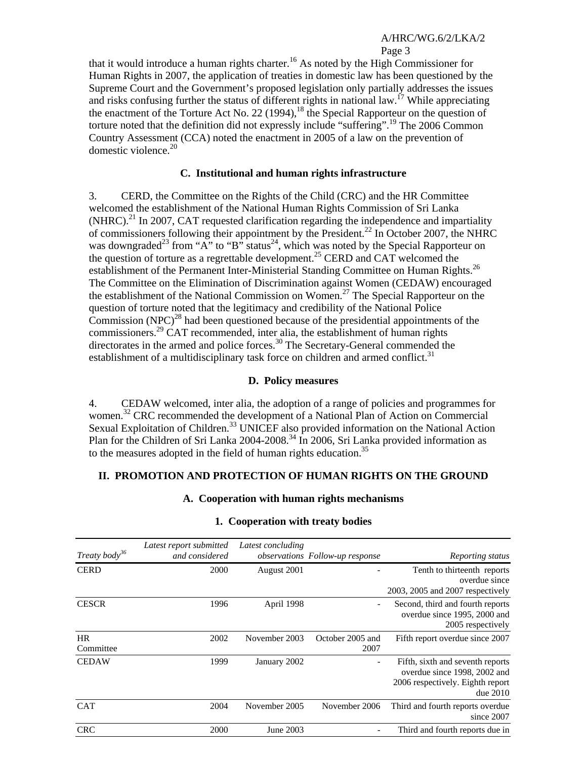#### Page 3

that it would introduce a human rights charter.<sup>16</sup> As noted by the High Commissioner for Human Rights in 2007, the application of treaties in domestic law has been questioned by the Supreme Court and the Government's proposed legislation only partially addresses the issues and risks confusing further the status of different rights in national law.<sup>17</sup> While appreciating the enactment of the Torture Act No. 22 (1994),<sup>18</sup> the Special Rapporteur on the question of torture noted that the definition did not expressly include "suffering".<sup>19</sup> The 2006 Common Country Assessment (CCA) noted the enactment in 2005 of a law on the prevention of domestic violence.<sup>20</sup>

#### **C. Institutional and human rights infrastructure**

3. CERD, the Committee on the Rights of the Child (CRC) and the HR Committee welcomed the establishment of the National Human Rights Commission of Sri Lanka (NHRC).<sup>21</sup> In 2007, CAT requested clarification regarding the independence and impartiality of commissioners following their appointment by the President.<sup>22</sup> In October 2007, the NHRC was downgraded<sup>23</sup> from "A" to "B" status<sup>24</sup>, which was noted by the Special Rapporteur on the question of torture as a regrettable development.25 CERD and CAT welcomed the establishment of the Permanent Inter-Ministerial Standing Committee on Human Rights.<sup>26</sup> The Committee on the Elimination of Discrimination against Women (CEDAW) encouraged the establishment of the National Commission on Women.<sup>27</sup> The Special Rapporteur on the question of torture noted that the legitimacy and credibility of the National Police Commission (NPC)<sup>28</sup> had been questioned because of the presidential appointments of the commissioners.29 CAT recommended, inter alia, the establishment of human rights directorates in the armed and police forces.<sup>30</sup> The Secretary-General commended the establishment of a multidisciplinary task force on children and armed conflict.<sup>31</sup>

#### **D. Policy measures**

4. CEDAW welcomed, inter alia, the adoption of a range of policies and programmes for women.32 CRC recommended the development of a National Plan of Action on Commercial Sexual Exploitation of Children.<sup>33</sup> UNICEF also provided information on the National Action Plan for the Children of Sri Lanka 2004-2008.<sup>34</sup> In 2006, Sri Lanka provided information as to the measures adopted in the field of human rights education.<sup>35</sup>

#### **II. PROMOTION AND PROTECTION OF HUMAN RIGHTS ON THE GROUND**

# **A. Cooperation with human rights mechanisms**

| Treaty body <sup>36</sup> | Latest report submitted<br>and considered | Latest concluding | <i>observations Follow-up response</i> | Reporting status                                                                                                 |
|---------------------------|-------------------------------------------|-------------------|----------------------------------------|------------------------------------------------------------------------------------------------------------------|
| <b>CERD</b>               | 2000                                      | August 2001       |                                        | Tenth to thirteenth reports<br>overdue since<br>2003, 2005 and 2007 respectively                                 |
| <b>CESCR</b>              | 1996                                      | April 1998        |                                        | Second, third and fourth reports<br>overdue since 1995, 2000 and<br>2005 respectively                            |
| <b>HR</b><br>Committee    | 2002                                      | November 2003     | October 2005 and<br>2007               | Fifth report overdue since 2007                                                                                  |
| <b>CEDAW</b>              | 1999                                      | January 2002      |                                        | Fifth, sixth and seventh reports<br>overdue since 1998, 2002 and<br>2006 respectively. Eighth report<br>due~2010 |
| <b>CAT</b>                | 2004                                      | November 2005     | November 2006                          | Third and fourth reports overdue<br>since 2007                                                                   |
| <b>CRC</b>                | 2000                                      | June 2003         |                                        | Third and fourth reports due in                                                                                  |

#### **1. Cooperation with treaty bodies**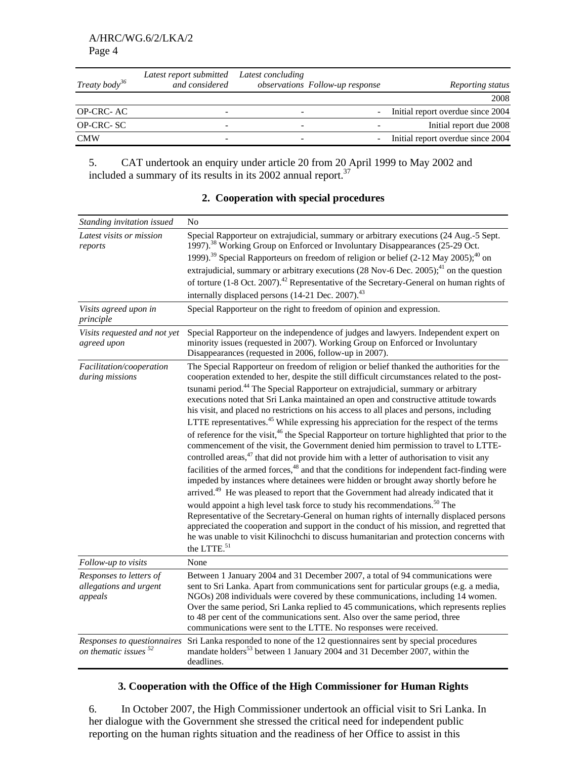| Treaty body <sup>36</sup> | Latest report submitted<br>and considered | Latest concluding | observations Follow-up response | Reporting status                  |
|---------------------------|-------------------------------------------|-------------------|---------------------------------|-----------------------------------|
|                           |                                           |                   |                                 | 2008                              |
| <b>OP-CRC-AC</b>          |                                           | -                 |                                 | Initial report overdue since 2004 |
| OP-CRC-SC                 |                                           |                   |                                 | Initial report due 2008           |
| <b>CMW</b>                |                                           |                   |                                 | Initial report overdue since 2004 |

5. CAT undertook an enquiry under article 20 from 20 April 1999 to May 2002 and included a summary of its results in its 2002 annual report.<sup>37</sup>

| Standing invitation issued                                      | N <sub>0</sub>                                                                                                                                                                                                                                                                                                                                                                                                                                                                                                                                                                                                                                                                                                                                                                                                                                                                                                                                                                                                                                                                                                                                                                                                                                                                                                                                                                                                                                                                                                                                                                                          |
|-----------------------------------------------------------------|---------------------------------------------------------------------------------------------------------------------------------------------------------------------------------------------------------------------------------------------------------------------------------------------------------------------------------------------------------------------------------------------------------------------------------------------------------------------------------------------------------------------------------------------------------------------------------------------------------------------------------------------------------------------------------------------------------------------------------------------------------------------------------------------------------------------------------------------------------------------------------------------------------------------------------------------------------------------------------------------------------------------------------------------------------------------------------------------------------------------------------------------------------------------------------------------------------------------------------------------------------------------------------------------------------------------------------------------------------------------------------------------------------------------------------------------------------------------------------------------------------------------------------------------------------------------------------------------------------|
| Latest visits or mission<br>reports                             | Special Rapporteur on extrajudicial, summary or arbitrary executions (24 Aug.-5 Sept.<br>1997). <sup>38</sup> Working Group on Enforced or Involuntary Disappearances (25-29 Oct.                                                                                                                                                                                                                                                                                                                                                                                                                                                                                                                                                                                                                                                                                                                                                                                                                                                                                                                                                                                                                                                                                                                                                                                                                                                                                                                                                                                                                       |
|                                                                 | 1999). <sup>39</sup> Special Rapporteurs on freedom of religion or belief (2-12 May 2005); <sup>40</sup> on                                                                                                                                                                                                                                                                                                                                                                                                                                                                                                                                                                                                                                                                                                                                                                                                                                                                                                                                                                                                                                                                                                                                                                                                                                                                                                                                                                                                                                                                                             |
|                                                                 | extrajudicial, summary or arbitrary executions (28 Nov-6 Dec. 2005); <sup>41</sup> on the question                                                                                                                                                                                                                                                                                                                                                                                                                                                                                                                                                                                                                                                                                                                                                                                                                                                                                                                                                                                                                                                                                                                                                                                                                                                                                                                                                                                                                                                                                                      |
|                                                                 | of torture (1-8 Oct. 2007). <sup>42</sup> Representative of the Secretary-General on human rights of                                                                                                                                                                                                                                                                                                                                                                                                                                                                                                                                                                                                                                                                                                                                                                                                                                                                                                                                                                                                                                                                                                                                                                                                                                                                                                                                                                                                                                                                                                    |
|                                                                 | internally displaced persons (14-21 Dec. 2007). <sup>43</sup>                                                                                                                                                                                                                                                                                                                                                                                                                                                                                                                                                                                                                                                                                                                                                                                                                                                                                                                                                                                                                                                                                                                                                                                                                                                                                                                                                                                                                                                                                                                                           |
| Visits agreed upon in<br>principle                              | Special Rapporteur on the right to freedom of opinion and expression.                                                                                                                                                                                                                                                                                                                                                                                                                                                                                                                                                                                                                                                                                                                                                                                                                                                                                                                                                                                                                                                                                                                                                                                                                                                                                                                                                                                                                                                                                                                                   |
| Visits requested and not yet<br>agreed upon                     | Special Rapporteur on the independence of judges and lawyers. Independent expert on<br>minority issues (requested in 2007). Working Group on Enforced or Involuntary<br>Disappearances (requested in 2006, follow-up in 2007).                                                                                                                                                                                                                                                                                                                                                                                                                                                                                                                                                                                                                                                                                                                                                                                                                                                                                                                                                                                                                                                                                                                                                                                                                                                                                                                                                                          |
| Facilitation/cooperation<br>during missions                     | The Special Rapporteur on freedom of religion or belief thanked the authorities for the<br>cooperation extended to her, despite the still difficult circumstances related to the post-<br>tsunami period. <sup>44</sup> The Special Rapporteur on extrajudicial, summary or arbitrary<br>executions noted that Sri Lanka maintained an open and constructive attitude towards<br>his visit, and placed no restrictions on his access to all places and persons, including<br>LTTE representatives. <sup>45</sup> While expressing his appreciation for the respect of the terms<br>of reference for the visit, <sup>46</sup> the Special Rapporteur on torture highlighted that prior to the<br>commencement of the visit, the Government denied him permission to travel to LTTE-<br>controlled areas, <sup>47</sup> that did not provide him with a letter of authorisation to visit any<br>facilities of the armed forces, <sup>48</sup> and that the conditions for independent fact-finding were<br>impeded by instances where detainees were hidden or brought away shortly before he<br>arrived. <sup>49</sup> He was pleased to report that the Government had already indicated that it<br>would appoint a high level task force to study his recommendations. <sup>50</sup> The<br>Representative of the Secretary-General on human rights of internally displaced persons<br>appreciated the cooperation and support in the conduct of his mission, and regretted that<br>he was unable to visit Kilinochchi to discuss humanitarian and protection concerns with<br>the LTTE. <sup>51</sup> |
| Follow-up to visits                                             | None                                                                                                                                                                                                                                                                                                                                                                                                                                                                                                                                                                                                                                                                                                                                                                                                                                                                                                                                                                                                                                                                                                                                                                                                                                                                                                                                                                                                                                                                                                                                                                                                    |
| Responses to letters of<br>allegations and urgent<br>appeals    | Between 1 January 2004 and 31 December 2007, a total of 94 communications were<br>sent to Sri Lanka. Apart from communications sent for particular groups (e.g. a media,<br>NGOs) 208 individuals were covered by these communications, including 14 women.<br>Over the same period, Sri Lanka replied to 45 communications, which represents replies<br>to 48 per cent of the communications sent. Also over the same period, three<br>communications were sent to the LTTE. No responses were received.                                                                                                                                                                                                                                                                                                                                                                                                                                                                                                                                                                                                                                                                                                                                                                                                                                                                                                                                                                                                                                                                                               |
| Responses to questionnaires<br>on thematic issues <sup>52</sup> | Sri Lanka responded to none of the 12 questionnaires sent by special procedures<br>mandate holders <sup>53</sup> between 1 January 2004 and 31 December 2007, within the<br>deadlines.                                                                                                                                                                                                                                                                                                                                                                                                                                                                                                                                                                                                                                                                                                                                                                                                                                                                                                                                                                                                                                                                                                                                                                                                                                                                                                                                                                                                                  |

#### **2. Cooperation with special procedures**

# **3. Cooperation with the Office of the High Commissioner for Human Rights**

6. In October 2007, the High Commissioner undertook an official visit to Sri Lanka. In her dialogue with the Government she stressed the critical need for independent public reporting on the human rights situation and the readiness of her Office to assist in this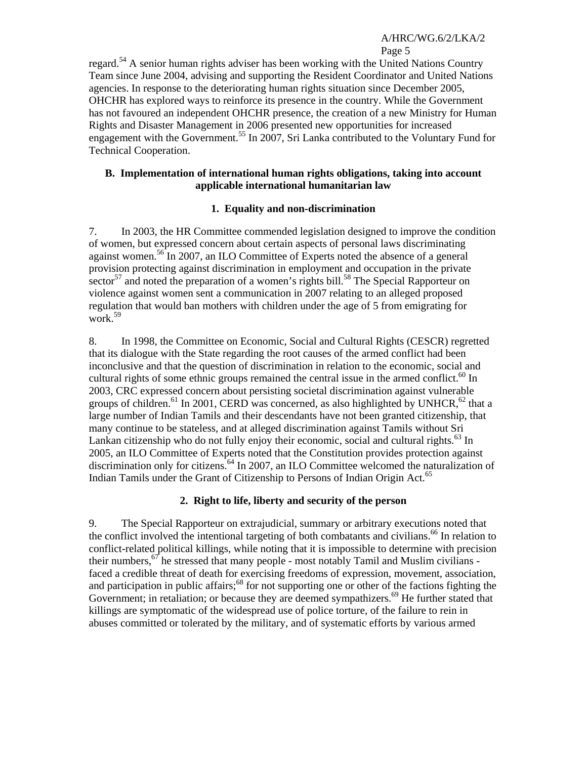Page 5 regard.54 A senior human rights adviser has been working with the United Nations Country Team since June 2004, advising and supporting the Resident Coordinator and United Nations agencies. In response to the deteriorating human rights situation since December 2005, OHCHR has explored ways to reinforce its presence in the country. While the Government has not favoured an independent OHCHR presence, the creation of a new Ministry for Human Rights and Disaster Management in 2006 presented new opportunities for increased engagement with the Government.<sup>55</sup> In 2007, Sri Lanka contributed to the Voluntary Fund for Technical Cooperation.

#### **B. Implementation of international human rights obligations, taking into account applicable international humanitarian law**

# **1. Equality and non-discrimination**

7. In 2003, the HR Committee commended legislation designed to improve the condition of women, but expressed concern about certain aspects of personal laws discriminating against women.56 In 2007, an ILO Committee of Experts noted the absence of a general provision protecting against discrimination in employment and occupation in the private sector<sup>57</sup> and noted the preparation of a women's rights bill.<sup>58</sup> The Special Rapporteur on violence against women sent a communication in 2007 relating to an alleged proposed regulation that would ban mothers with children under the age of 5 from emigrating for work.59

8. In 1998, the Committee on Economic, Social and Cultural Rights (CESCR) regretted that its dialogue with the State regarding the root causes of the armed conflict had been inconclusive and that the question of discrimination in relation to the economic, social and cultural rights of some ethnic groups remained the central issue in the armed conflict.<sup>60</sup> In 2003, CRC expressed concern about persisting societal discrimination against vulnerable groups of children.<sup>61</sup> In 2001, CERD was concerned, as also highlighted by UNHCR,<sup>62</sup> that a large number of Indian Tamils and their descendants have not been granted citizenship, that many continue to be stateless, and at alleged discrimination against Tamils without Sri Lankan citizenship who do not fully enjoy their economic, social and cultural rights.<sup>63</sup> In 2005, an ILO Committee of Experts noted that the Constitution provides protection against discrimination only for citizens.<sup>64</sup> In 2007, an ILO Committee welcomed the naturalization of Indian Tamils under the Grant of Citizenship to Persons of Indian Origin Act.<sup>65</sup>

# **2. Right to life, liberty and security of the person**

9. The Special Rapporteur on extrajudicial, summary or arbitrary executions noted that the conflict involved the intentional targeting of both combatants and civilians.<sup>66</sup> In relation to conflict-related political killings, while noting that it is impossible to determine with precision their numbers,  $\frac{67}{7}$  he stressed that many people - most notably Tamil and Muslim civilians faced a credible threat of death for exercising freedoms of expression, movement, association, and participation in public affairs;<sup>68</sup> for not supporting one or other of the factions fighting the Government; in retaliation; or because they are deemed sympathizers.<sup>69</sup> He further stated that killings are symptomatic of the widespread use of police torture, of the failure to rein in abuses committed or tolerated by the military, and of systematic efforts by various armed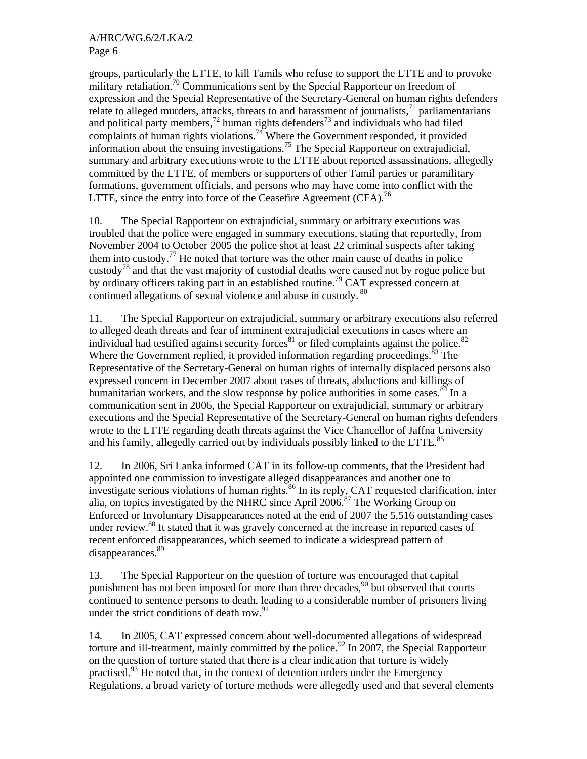groups, particularly the LTTE, to kill Tamils who refuse to support the LTTE and to provoke military retaliation.<sup>70</sup> Communications sent by the Special Rapporteur on freedom of expression and the Special Representative of the Secretary-General on human rights defenders relate to alleged murders, attacks, threats to and harassment of journalists, $^{71}$  parliamentarians and political party members,<sup>72</sup> human rights defenders<sup>73</sup> and individuals who had filed complaints of human rights violations.<sup>74</sup> Where the Government responded, it provided information about the ensuing investigations.<sup>75</sup> The Special Rapporteur on extrajudicial, summary and arbitrary executions wrote to the LTTE about reported assassinations, allegedly committed by the LTTE, of members or supporters of other Tamil parties or paramilitary formations, government officials, and persons who may have come into conflict with the LTTE, since the entry into force of the Ceasefire Agreement  $(CFA)$ .<sup>76</sup>

10. The Special Rapporteur on extrajudicial, summary or arbitrary executions was troubled that the police were engaged in summary executions, stating that reportedly, from November 2004 to October 2005 the police shot at least 22 criminal suspects after taking them into custody.<sup>77</sup> He noted that torture was the other main cause of deaths in police custody78 and that the vast majority of custodial deaths were caused not by rogue police but by ordinary officers taking part in an established routine.<sup>79</sup> CAT expressed concern at continued allegations of sexual violence and abuse in custody. <sup>80</sup>

11. The Special Rapporteur on extrajudicial, summary or arbitrary executions also referred to alleged death threats and fear of imminent extrajudicial executions in cases where an individual had testified against security forces<sup>81</sup> or filed complaints against the police.<sup>82</sup> Where the Government replied, it provided information regarding proceedings. $\frac{83}{3}$  The Representative of the Secretary-General on human rights of internally displaced persons also expressed concern in December 2007 about cases of threats, abductions and killings of humanitarian workers, and the slow response by police authorities in some cases. $84$  In a communication sent in 2006, the Special Rapporteur on extrajudicial, summary or arbitrary executions and the Special Representative of the Secretary-General on human rights defenders wrote to the LTTE regarding death threats against the Vice Chancellor of Jaffna University and his family, allegedly carried out by individuals possibly linked to the LTTE.<sup>85</sup>

12. In 2006, Sri Lanka informed CAT in its follow-up comments, that the President had appointed one commission to investigate alleged disappearances and another one to investigate serious violations of human rights.<sup>86</sup> In its reply, CAT requested clarification, inter alia, on topics investigated by the NHRC since April  $2006$ .<sup>87</sup> The Working Group on Enforced or Involuntary Disappearances noted at the end of 2007 the 5,516 outstanding cases under review.<sup>88</sup> It stated that it was gravely concerned at the increase in reported cases of recent enforced disappearances, which seemed to indicate a widespread pattern of disappearances.<sup>89</sup>

13. The Special Rapporteur on the question of torture was encouraged that capital punishment has not been imposed for more than three decades,<sup>90</sup> but observed that courts continued to sentence persons to death, leading to a considerable number of prisoners living under the strict conditions of death row. $91$ 

14. In 2005, CAT expressed concern about well-documented allegations of widespread torture and ill-treatment, mainly committed by the police.<sup>92</sup> In 2007, the Special Rapporteur on the question of torture stated that there is a clear indication that torture is widely practised.93 He noted that, in the context of detention orders under the Emergency Regulations, a broad variety of torture methods were allegedly used and that several elements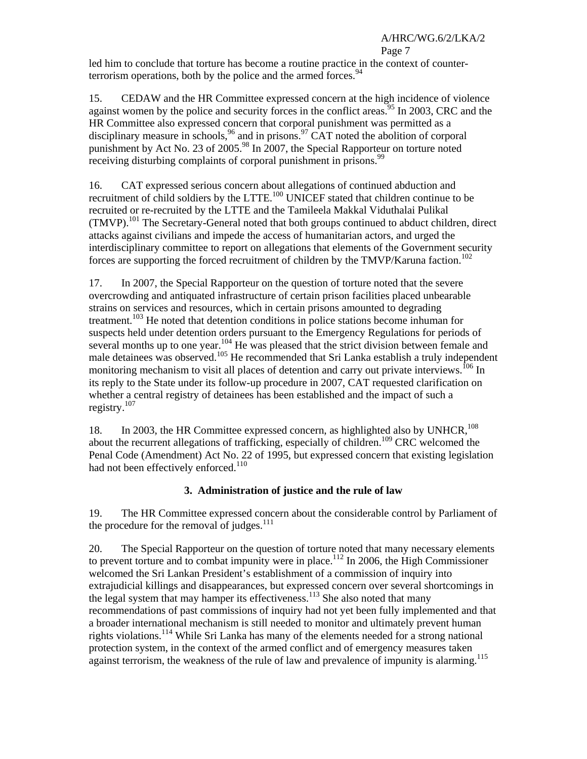# Page 7

led him to conclude that torture has become a routine practice in the context of counterterrorism operations, both by the police and the armed forces.  $94$ 

15. CEDAW and the HR Committee expressed concern at the high incidence of violence against women by the police and security forces in the conflict areas.<sup>95</sup> In 2003, CRC and the HR Committee also expressed concern that corporal punishment was permitted as a disciplinary measure in schools,  $96$  and in prisons.  $97$  CAT noted the abolition of corporal punishment by Act No. 23 of 2005.<sup>98</sup> In 2007, the Special Rapporteur on torture noted receiving disturbing complaints of corporal punishment in prisons.<sup>99</sup>

16. CAT expressed serious concern about allegations of continued abduction and recruitment of child soldiers by the LTTE.100 UNICEF stated that children continue to be recruited or re-recruited by the LTTE and the Tamileela Makkal Viduthalai Pulikal  $(TMVP).$ <sup>101</sup> The Secretary-General noted that both groups continued to abduct children, direct attacks against civilians and impede the access of humanitarian actors, and urged the interdisciplinary committee to report on allegations that elements of the Government security forces are supporting the forced recruitment of children by the  $TMVP/K$ aruna faction.<sup>102</sup>

17. In 2007, the Special Rapporteur on the question of torture noted that the severe overcrowding and antiquated infrastructure of certain prison facilities placed unbearable strains on services and resources, which in certain prisons amounted to degrading treatment.<sup>103</sup> He noted that detention conditions in police stations become inhuman for suspects held under detention orders pursuant to the Emergency Regulations for periods of several months up to one year.<sup>104</sup> He was pleased that the strict division between female and male detainees was observed.<sup>105</sup> He recommended that Sri Lanka establish a truly independent monitoring mechanism to visit all places of detention and carry out private interviews.<sup>106</sup> In its reply to the State under its follow-up procedure in 2007, CAT requested clarification on whether a central registry of detainees has been established and the impact of such a registry.107

18. In 2003, the HR Committee expressed concern, as highlighted also by UNHCR,<sup>108</sup> about the recurrent allegations of trafficking, especially of children.<sup>109</sup> CRC welcomed the Penal Code (Amendment) Act No. 22 of 1995, but expressed concern that existing legislation had not been effectively enforced.<sup>110</sup>

# **3. Administration of justice and the rule of law**

19. The HR Committee expressed concern about the considerable control by Parliament of the procedure for the removal of judges. $111$ 

20. The Special Rapporteur on the question of torture noted that many necessary elements to prevent torture and to combat impunity were in place.<sup>112</sup> In 2006, the High Commissioner welcomed the Sri Lankan President's establishment of a commission of inquiry into extrajudicial killings and disappearances, but expressed concern over several shortcomings in the legal system that may hamper its effectiveness.<sup>113</sup> She also noted that many recommendations of past commissions of inquiry had not yet been fully implemented and that a broader international mechanism is still needed to monitor and ultimately prevent human rights violations.114 While Sri Lanka has many of the elements needed for a strong national protection system, in the context of the armed conflict and of emergency measures taken against terrorism, the weakness of the rule of law and prevalence of impunity is alarming.<sup>115</sup>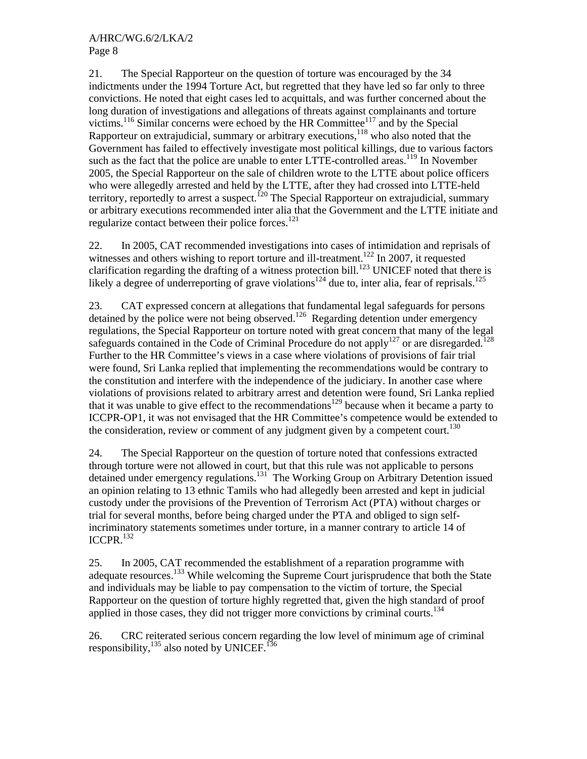21. The Special Rapporteur on the question of torture was encouraged by the 34 indictments under the 1994 Torture Act, but regretted that they have led so far only to three convictions. He noted that eight cases led to acquittals, and was further concerned about the long duration of investigations and allegations of threats against complainants and torture victims.<sup>116</sup> Similar concerns were echoed by the HR Committee<sup>117</sup> and by the Special Rapporteur on extrajudicial, summary or arbitrary executions,<sup>118</sup> who also noted that the Government has failed to effectively investigate most political killings, due to various factors such as the fact that the police are unable to enter LTTE-controlled areas.<sup>119</sup> In November 2005, the Special Rapporteur on the sale of children wrote to the LTTE about police officers who were allegedly arrested and held by the LTTE, after they had crossed into LTTE-held territory, reportedly to arrest a suspect.<sup>120</sup> The Special Rapporteur on extrajudicial, summary or arbitrary executions recommended inter alia that the Government and the LTTE initiate and regularize contact between their police forces. $121$ 

22. In 2005, CAT recommended investigations into cases of intimidation and reprisals of witnesses and others wishing to report torture and ill-treatment.<sup>122</sup> In 2007, it requested clarification regarding the drafting of a witness protection bill.<sup>123</sup> UNICEF noted that there is likely a degree of underreporting of grave violations<sup>124</sup> due to, inter alia, fear of reprisals.<sup>125</sup>

23. CAT expressed concern at allegations that fundamental legal safeguards for persons detained by the police were not being observed.<sup>126</sup> Regarding detention under emergency regulations, the Special Rapporteur on torture noted with great concern that many of the legal safeguards contained in the Code of Criminal Procedure do not apply<sup>127</sup> or are disregarded.<sup>128</sup> Further to the HR Committee's views in a case where violations of provisions of fair trial were found, Sri Lanka replied that implementing the recommendations would be contrary to the constitution and interfere with the independence of the judiciary. In another case where violations of provisions related to arbitrary arrest and detention were found, Sri Lanka replied that it was unable to give effect to the recommendations<sup>129</sup> because when it became a party to ICCPR-OP1, it was not envisaged that the HR Committee's competence would be extended to the consideration, review or comment of any judgment given by a competent court.<sup>130</sup>

24. The Special Rapporteur on the question of torture noted that confessions extracted through torture were not allowed in court, but that this rule was not applicable to persons detained under emergency regulations.<sup>131</sup> The Working Group on Arbitrary Detention issued an opinion relating to 13 ethnic Tamils who had allegedly been arrested and kept in judicial custody under the provisions of the Prevention of Terrorism Act (PTA) without charges or trial for several months, before being charged under the PTA and obliged to sign selfincriminatory statements sometimes under torture, in a manner contrary to article 14 of ICCPR.132

25. In 2005, CAT recommended the establishment of a reparation programme with adequate resources.<sup>133</sup> While welcoming the Supreme Court jurisprudence that both the State and individuals may be liable to pay compensation to the victim of torture, the Special Rapporteur on the question of torture highly regretted that, given the high standard of proof applied in those cases, they did not trigger more convictions by criminal courts.<sup>134</sup>

26. CRC reiterated serious concern regarding the low level of minimum age of criminal responsibility, $^{135}$  also noted by UNICEF.<sup>136</sup>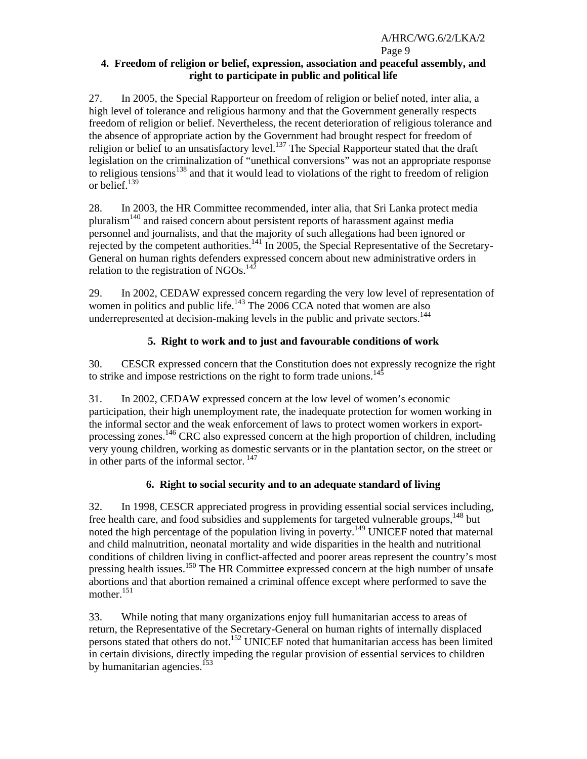#### Page 9 **4. Freedom of religion or belief, expression, association and peaceful assembly, and right to participate in public and political life**

27. In 2005, the Special Rapporteur on freedom of religion or belief noted, inter alia, a high level of tolerance and religious harmony and that the Government generally respects freedom of religion or belief. Nevertheless, the recent deterioration of religious tolerance and the absence of appropriate action by the Government had brought respect for freedom of religion or belief to an unsatisfactory level.<sup>137</sup> The Special Rapporteur stated that the draft legislation on the criminalization of "unethical conversions" was not an appropriate response to religious tensions<sup>138</sup> and that it would lead to violations of the right to freedom of religion or belief.139

28. In 2003, the HR Committee recommended, inter alia, that Sri Lanka protect media pluralism140 and raised concern about persistent reports of harassment against media personnel and journalists, and that the majority of such allegations had been ignored or rejected by the competent authorities.<sup>141</sup> In 2005, the Special Representative of the Secretary-General on human rights defenders expressed concern about new administrative orders in relation to the registration of NGOs. $^{142}$ 

29. In 2002, CEDAW expressed concern regarding the very low level of representation of women in politics and public life.<sup>143</sup> The 2006 CCA noted that women are also underrepresented at decision-making levels in the public and private sectors.<sup>144</sup>

# **5. Right to work and to just and favourable conditions of work**

30. CESCR expressed concern that the Constitution does not expressly recognize the right to strike and impose restrictions on the right to form trade unions.<sup>145</sup>

31. In 2002, CEDAW expressed concern at the low level of women's economic participation, their high unemployment rate, the inadequate protection for women working in the informal sector and the weak enforcement of laws to protect women workers in exportprocessing zones.146 CRC also expressed concern at the high proportion of children, including very young children, working as domestic servants or in the plantation sector, on the street or in other parts of the informal sector.<sup>147</sup>

# **6. Right to social security and to an adequate standard of living**

32. In 1998, CESCR appreciated progress in providing essential social services including, free health care, and food subsidies and supplements for targeted vulnerable groups,<sup>148</sup> but noted the high percentage of the population living in poverty.<sup>149</sup> UNICEF noted that maternal and child malnutrition, neonatal mortality and wide disparities in the health and nutritional conditions of children living in conflict-affected and poorer areas represent the country's most pressing health issues.150 The HR Committee expressed concern at the high number of unsafe abortions and that abortion remained a criminal offence except where performed to save the mother.<sup>151</sup>

33. While noting that many organizations enjoy full humanitarian access to areas of return, the Representative of the Secretary-General on human rights of internally displaced persons stated that others do not.<sup>152</sup> UNICEF noted that humanitarian access has been limited in certain divisions, directly impeding the regular provision of essential services to children by humanitarian agencies.<sup>153</sup>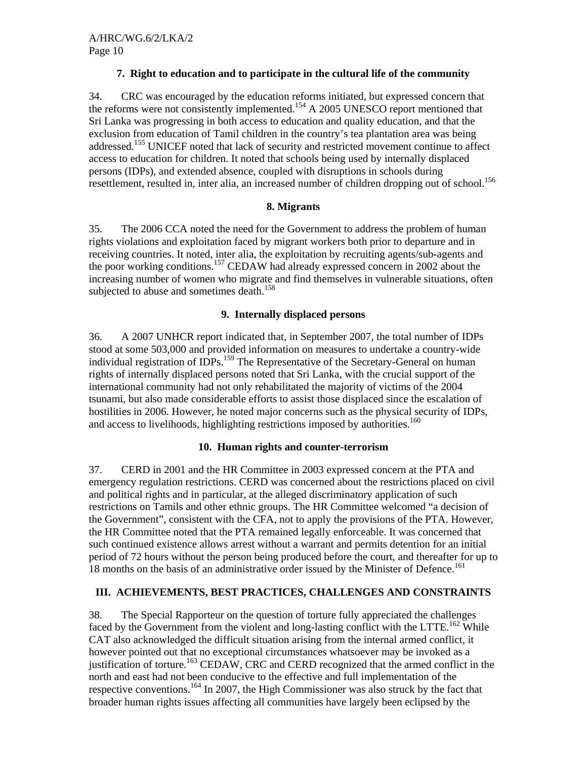## **7. Right to education and to participate in the cultural life of the community**

34. CRC was encouraged by the education reforms initiated, but expressed concern that the reforms were not consistently implemented.<sup>154</sup> A 2005 UNESCO report mentioned that Sri Lanka was progressing in both access to education and quality education, and that the exclusion from education of Tamil children in the country's tea plantation area was being addressed.<sup>155</sup> UNICEF noted that lack of security and restricted movement continue to affect access to education for children. It noted that schools being used by internally displaced persons (IDPs), and extended absence, coupled with disruptions in schools during resettlement, resulted in, inter alia, an increased number of children dropping out of school.<sup>156</sup>

#### **8. Migrants**

35. The 2006 CCA noted the need for the Government to address the problem of human rights violations and exploitation faced by migrant workers both prior to departure and in receiving countries. It noted, inter alia, the exploitation by recruiting agents/sub-agents and the poor working conditions.157 CEDAW had already expressed concern in 2002 about the increasing number of women who migrate and find themselves in vulnerable situations, often subjected to abuse and sometimes death.<sup>158</sup>

#### **9. Internally displaced persons**

36. A 2007 UNHCR report indicated that, in September 2007, the total number of IDPs stood at some 503,000 and provided information on measures to undertake a country-wide individual registration of IDPs.<sup>159</sup> The Representative of the Secretary-General on human rights of internally displaced persons noted that Sri Lanka, with the crucial support of the international community had not only rehabilitated the majority of victims of the 2004 tsunami, but also made considerable efforts to assist those displaced since the escalation of hostilities in 2006. However, he noted major concerns such as the physical security of IDPs, and access to livelihoods, highlighting restrictions imposed by authorities.<sup>160</sup>

#### **10. Human rights and counter-terrorism**

37. CERD in 2001 and the HR Committee in 2003 expressed concern at the PTA and emergency regulation restrictions. CERD was concerned about the restrictions placed on civil and political rights and in particular, at the alleged discriminatory application of such restrictions on Tamils and other ethnic groups. The HR Committee welcomed "a decision of the Government", consistent with the CFA, not to apply the provisions of the PTA. However, the HR Committee noted that the PTA remained legally enforceable. It was concerned that such continued existence allows arrest without a warrant and permits detention for an initial period of 72 hours without the person being produced before the court, and thereafter for up to 18 months on the basis of an administrative order issued by the Minister of Defence.<sup>161</sup>

# **III. ACHIEVEMENTS, BEST PRACTICES, CHALLENGES AND CONSTRAINTS**

38. The Special Rapporteur on the question of torture fully appreciated the challenges faced by the Government from the violent and long-lasting conflict with the LTTE.<sup>162</sup> While CAT also acknowledged the difficult situation arising from the internal armed conflict, it however pointed out that no exceptional circumstances whatsoever may be invoked as a justification of torture.<sup>163</sup> CEDAW, CRC and CERD recognized that the armed conflict in the north and east had not been conducive to the effective and full implementation of the respective conventions.164 In 2007, the High Commissioner was also struck by the fact that broader human rights issues affecting all communities have largely been eclipsed by the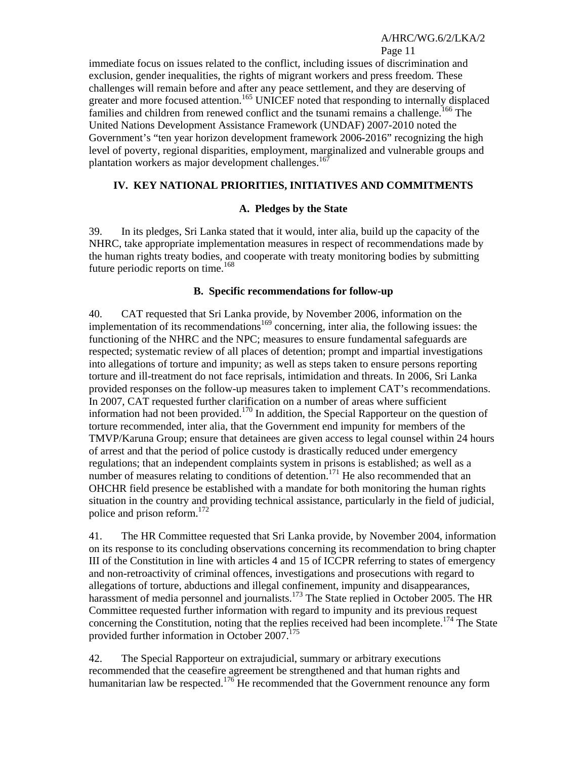Page 11

immediate focus on issues related to the conflict, including issues of discrimination and exclusion, gender inequalities, the rights of migrant workers and press freedom. These challenges will remain before and after any peace settlement, and they are deserving of greater and more focused attention.<sup>165</sup> UNICEF noted that responding to internally displaced families and children from renewed conflict and the tsunami remains a challenge.<sup>166</sup> The United Nations Development Assistance Framework (UNDAF) 2007-2010 noted the Government's "ten year horizon development framework 2006-2016" recognizing the high level of poverty, regional disparities, employment, marginalized and vulnerable groups and plantation workers as major development challenges.<sup>167</sup>

# **IV. KEY NATIONAL PRIORITIES, INITIATIVES AND COMMITMENTS**

# **A. Pledges by the State**

39. In its pledges, Sri Lanka stated that it would, inter alia, build up the capacity of the NHRC, take appropriate implementation measures in respect of recommendations made by the human rights treaty bodies, and cooperate with treaty monitoring bodies by submitting future periodic reports on time. $168$ 

#### **B. Specific recommendations for follow-up**

40. CAT requested that Sri Lanka provide, by November 2006, information on the implementation of its recommendations<sup>169</sup> concerning, inter alia, the following issues: the functioning of the NHRC and the NPC; measures to ensure fundamental safeguards are respected; systematic review of all places of detention; prompt and impartial investigations into allegations of torture and impunity; as well as steps taken to ensure persons reporting torture and ill-treatment do not face reprisals, intimidation and threats. In 2006, Sri Lanka provided responses on the follow-up measures taken to implement CAT's recommendations. In 2007, CAT requested further clarification on a number of areas where sufficient information had not been provided.<sup>170</sup> In addition, the Special Rapporteur on the question of torture recommended, inter alia, that the Government end impunity for members of the TMVP/Karuna Group; ensure that detainees are given access to legal counsel within 24 hours of arrest and that the period of police custody is drastically reduced under emergency regulations; that an independent complaints system in prisons is established; as well as a number of measures relating to conditions of detention.<sup>171</sup> He also recommended that an OHCHR field presence be established with a mandate for both monitoring the human rights situation in the country and providing technical assistance, particularly in the field of judicial, police and prison reform.<sup>172</sup>

41. The HR Committee requested that Sri Lanka provide, by November 2004, information on its response to its concluding observations concerning its recommendation to bring chapter III of the Constitution in line with articles 4 and 15 of ICCPR referring to states of emergency and non-retroactivity of criminal offences, investigations and prosecutions with regard to allegations of torture, abductions and illegal confinement, impunity and disappearances, harassment of media personnel and journalists.<sup>173</sup> The State replied in October 2005. The HR Committee requested further information with regard to impunity and its previous request concerning the Constitution, noting that the replies received had been incomplete.<sup>174</sup> The State provided further information in October 2007.<sup>175</sup>

42. The Special Rapporteur on extrajudicial, summary or arbitrary executions recommended that the ceasefire agreement be strengthened and that human rights and humanitarian law be respected.<sup>176</sup> He recommended that the Government renounce any form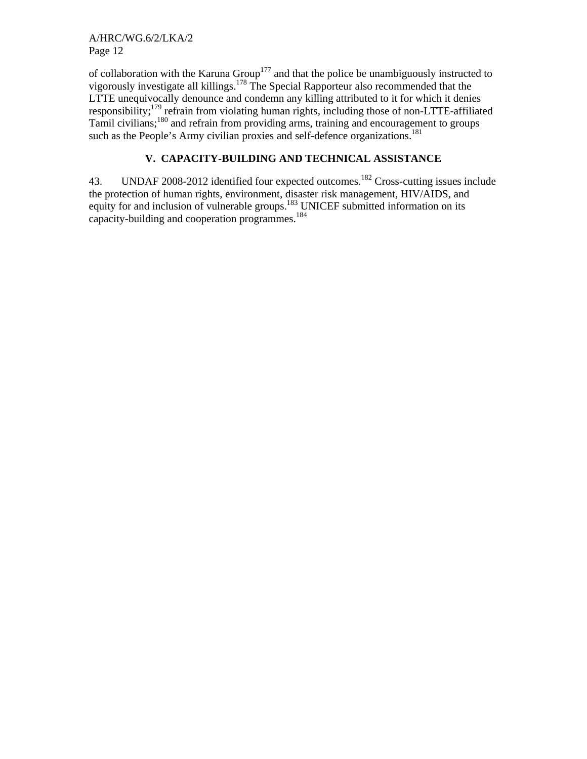A/HRC/WG.6/2/LKA/2 Page 12

of collaboration with the Karuna Group<sup>177</sup> and that the police be unambiguously instructed to vigorously investigate all killings.<sup>178</sup> The Special Rapporteur also recommended that the LTTE unequivocally denounce and condemn any killing attributed to it for which it denies responsibility;179 refrain from violating human rights, including those of non-LTTE-affiliated Tamil civilians;180 and refrain from providing arms, training and encouragement to groups such as the People's Army civilian proxies and self-defence organizations.<sup>181</sup>

# **V. CAPACITY-BUILDING AND TECHNICAL ASSISTANCE**

43. UNDAF 2008-2012 identified four expected outcomes.<sup>182</sup> Cross-cutting issues include the protection of human rights, environment, disaster risk management, HIV/AIDS, and equity for and inclusion of vulnerable groups.<sup>183</sup> UNICEF submitted information on its capacity-building and cooperation programmes.<sup>184</sup>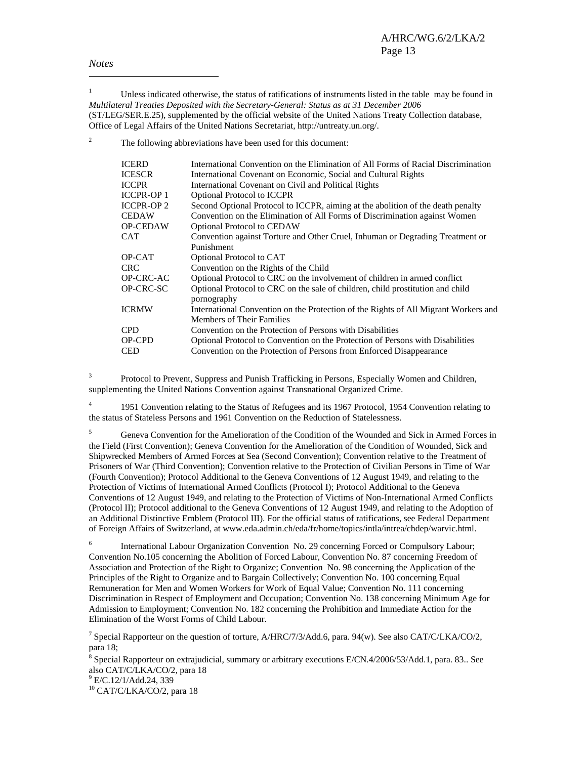*Notes* 

 $\overline{a}$ 

1 Unless indicated otherwise, the status of ratifications of instruments listed in the table may be found in *Multilateral Treaties Deposited with the Secretary-General: Status as at 31 December 2006* (ST/LEG/SER.E.25), supplemented by the official website of the United Nations Treaty Collection database, Office of Legal Affairs of the United Nations Secretariat, http://untreaty.un.org/.

2 The following abbreviations have been used for this document:

| <b>ICERD</b>      | International Convention on the Elimination of All Forms of Racial Discrimination                                       |
|-------------------|-------------------------------------------------------------------------------------------------------------------------|
| <b>ICESCR</b>     | International Covenant on Economic, Social and Cultural Rights                                                          |
| <b>ICCPR</b>      | International Covenant on Civil and Political Rights                                                                    |
| <b>ICCPR-OP 1</b> | <b>Optional Protocol to ICCPR</b>                                                                                       |
| <b>ICCPR-OP2</b>  | Second Optional Protocol to ICCPR, aiming at the abolition of the death penalty                                         |
| <b>CEDAW</b>      | Convention on the Elimination of All Forms of Discrimination against Women                                              |
| <b>OP-CEDAW</b>   | <b>Optional Protocol to CEDAW</b>                                                                                       |
| CAT               | Convention against Torture and Other Cruel, Inhuman or Degrading Treatment or                                           |
|                   | Punishment                                                                                                              |
| OP-CAT            | Optional Protocol to CAT                                                                                                |
| CRC.              | Convention on the Rights of the Child                                                                                   |
| <b>OP-CRC-AC</b>  | Optional Protocol to CRC on the involvement of children in armed conflict                                               |
| OP-CRC-SC         | Optional Protocol to CRC on the sale of children, child prostitution and child<br>pornography                           |
| <b>ICRMW</b>      | International Convention on the Protection of the Rights of All Migrant Workers and<br><b>Members of Their Families</b> |
| <b>CPD</b>        | Convention on the Protection of Persons with Disabilities                                                               |
| OP-CPD            | Optional Protocol to Convention on the Protection of Persons with Disabilities                                          |
| <b>CED</b>        | Convention on the Protection of Persons from Enforced Disappearance                                                     |
|                   |                                                                                                                         |

3 Protocol to Prevent, Suppress and Punish Trafficking in Persons, Especially Women and Children, supplementing the United Nations Convention against Transnational Organized Crime.

4 1951 Convention relating to the Status of Refugees and its 1967 Protocol, 1954 Convention relating to the status of Stateless Persons and 1961 Convention on the Reduction of Statelessness.

5 Geneva Convention for the Amelioration of the Condition of the Wounded and Sick in Armed Forces in the Field (First Convention); Geneva Convention for the Amelioration of the Condition of Wounded, Sick and Shipwrecked Members of Armed Forces at Sea (Second Convention); Convention relative to the Treatment of Prisoners of War (Third Convention); Convention relative to the Protection of Civilian Persons in Time of War (Fourth Convention); Protocol Additional to the Geneva Conventions of 12 August 1949, and relating to the Protection of Victims of International Armed Conflicts (Protocol I); Protocol Additional to the Geneva Conventions of 12 August 1949, and relating to the Protection of Victims of Non-International Armed Conflicts (Protocol II); Protocol additional to the Geneva Conventions of 12 August 1949, and relating to the Adoption of an Additional Distinctive Emblem (Protocol III). For the official status of ratifications, see Federal Department of Foreign Affairs of Switzerland, at www.eda.admin.ch/eda/fr/home/topics/intla/intrea/chdep/warvic.html.

6 International Labour Organization Convention No. 29 concerning Forced or Compulsory Labour; Convention No.105 concerning the Abolition of Forced Labour, Convention No. 87 concerning Freedom of Association and Protection of the Right to Organize; Convention No. 98 concerning the Application of the Principles of the Right to Organize and to Bargain Collectively; Convention No. 100 concerning Equal Remuneration for Men and Women Workers for Work of Equal Value; Convention No. 111 concerning Discrimination in Respect of Employment and Occupation; Convention No. 138 concerning Minimum Age for Admission to Employment; Convention No. 182 concerning the Prohibition and Immediate Action for the Elimination of the Worst Forms of Child Labour.

<sup>7</sup> Special Rapporteur on the question of torture, A/HRC/7/3/Add.6, para. 94(w). See also CAT/C/LKA/CO/2, para 18;

<sup>8</sup> Special Rapporteur on extrajudicial, summary or arbitrary executions E/CN.4/2006/53/Add.1, para. 83.. See also CAT/C/LKA/CO/2, para 18

<sup>9</sup> E/C.12/1/Add.24, 339

10 CAT/C/LKA/CO/2, para 18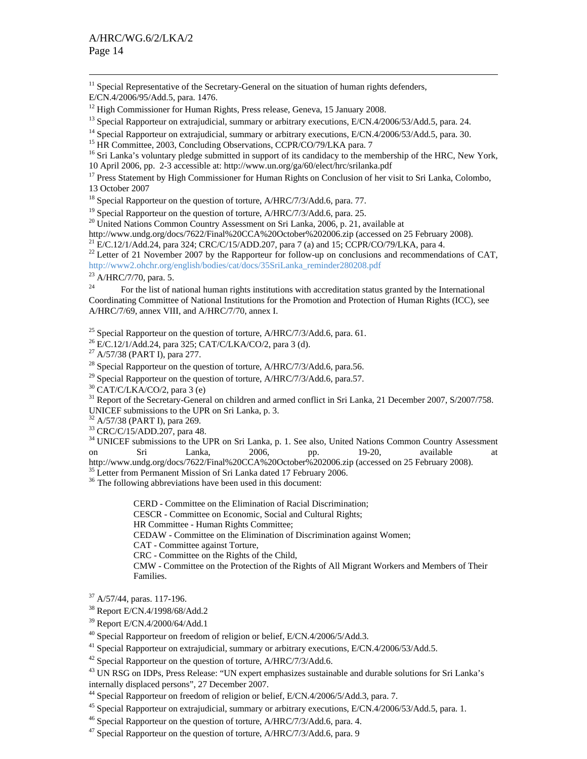$11$  Special Representative of the Secretary-General on the situation of human rights defenders,

<sup>13</sup> Special Rapporteur on extrajudicial, summary or arbitrary executions, E/CN.4/2006/53/Add.5, para. 24.<br><sup>14</sup> Special Rapporteur on extrajudicial, summary or arbitrary executions, E/CN.4/2006/53/Add.5, para. 30.<br><sup>15</sup> HR

<sup>17</sup> Press Statement by High Commissioner for Human Rights on Conclusion of her visit to Sri Lanka, Colombo, 13 October 2007

<sup>18</sup> Special Rapporteur on the question of torture, A/HRC/7/3/Add.6, para. 77.

<sup>19</sup> Special Rapporteur on the question of torture, A/HRC/7/3/Add.6, para. 25.

<sup>20</sup> United Nations Common Country Assessment on Sri Lanka, 2006, p. 21, available at http://www.undg.org/docs/7622/Final%20CCA%20October%202006.zip (accessed on 25 February 2008).

<sup>21</sup> E/C.12/1/Add.24, para 324; CRC/C/15/ADD.207, para 7 (a) and 15; CCPR/CO/79/LKA, para 4.<br><sup>22</sup> Letter of 21 November 2007 by the Rapporteur for follow-up on conclusions and recommendations of CAT,

http://www2.ohchr.org/english/bodies/cat/docs/35SriLanka\_reminder280208.pdf 23 A/HRC/7/70, para. 5.

<sup>24</sup> For the list of national human rights institutions with accreditation status granted by the International Coordinating Committee of National Institutions for the Promotion and Protection of Human Rights (ICC), see A/HRC/7/69, annex VIII, and A/HRC/7/70, annex I.

<sup>25</sup> Special Rapporteur on the question of torture, A/HRC/7/3/Add.6, para. 61.

- <sup>26</sup> E/C.12/1/Add.24, para 325; CAT/C/LKA/CO/2, para 3 (d).
- 27 A/57/38 (PART I), para 277.

<sup>28</sup> Special Rapporteur on the question of torture,  $A/HRC/7/3/Add.6$ , para.56.

<sup>29</sup> Special Rapporteur on the question of torture,  $A/HRC/7/3/Add.6$ , para.57.

 $30$  CAT/C/LKA/CO/2, para 3 (e)

<sup>31</sup> Report of the Secretary-General on children and armed conflict in Sri Lanka, 21 December 2007, S/2007/758. UNICEF submissions to the UPR on Sri Lanka, p. 3.

 $32$  A/57/38 (PART I), para 269.

33 CRC/C/15/ADD.207, para 48.

<sup>34</sup> UNICEF submissions to the UPR on Sri Lanka, p. 1. See also, United Nations Common Country Assessment on Sri Lanka, 2006, pp. 19-20, available at

http://www.undg.org/docs/7622/Final%20CCA%20October%202006.zip (accessed on 25 February 2008).<br><sup>35</sup> Letter from Permanent Mission of Sri Lanka dated 17 February 2006.

<sup>36</sup> The following abbreviations have been used in this document:

CERD - Committee on the Elimination of Racial Discrimination;

CESCR - Committee on Economic, Social and Cultural Rights;

HR Committee - Human Rights Committee;

CEDAW - Committee on the Elimination of Discrimination against Women;

CAT - Committee against Torture,

CRC - Committee on the Rights of the Child,

CMW - Committee on the Protection of the Rights of All Migrant Workers and Members of Their Families.

- $37$  A/57/44, paras. 117-196.
- 38 Report E/CN.4/1998/68/Add.2

39 Report E/CN.4/2000/64/Add.1

 $^{40}$  Special Rapporteur on freedom of religion or belief, E/CN.4/2006/5/Add.3.

<sup>41</sup> Special Rapporteur on extrajudicial, summary or arbitrary executions, E/CN.4/2006/53/Add.5. <sup>42</sup> Special Rapporteur on the question of torture, A/HRC/7/3/Add.6.

43 UN RSG on IDPs, Press Release: "UN expert emphasizes sustainable and durable solutions for Sri Lanka's internally displaced persons", 27 December 2007.

44 Special Rapporteur on freedom of religion or belief, E/CN.4/2006/5/Add.3, para. 7.

<sup>45</sup> Special Rapporteur on extrajudicial, summary or arbitrary executions, E/CN.4/2006/53/Add.5, para. 1.<br><sup>46</sup> Special Rapporteur on the question of torture, A/HRC/7/3/Add.6, para. 4.

 $^{47}$  Special Rapporteur on the question of torture, A/HRC/7/3/Add.6, para. 9

E/CN.4/2006/95/Add.5, para. 1476.

<sup>&</sup>lt;sup>12</sup> High Commissioner for Human Rights, Press release, Geneva, 15 January 2008.

<sup>&</sup>lt;sup>16</sup> Sri Lanka's voluntary pledge submitted in support of its candidacy to the membership of the HRC, New York,

<sup>10</sup> April 2006, pp. 2-3 accessible at: http://www.un.org/ga/60/elect/hrc/srilanka.pdf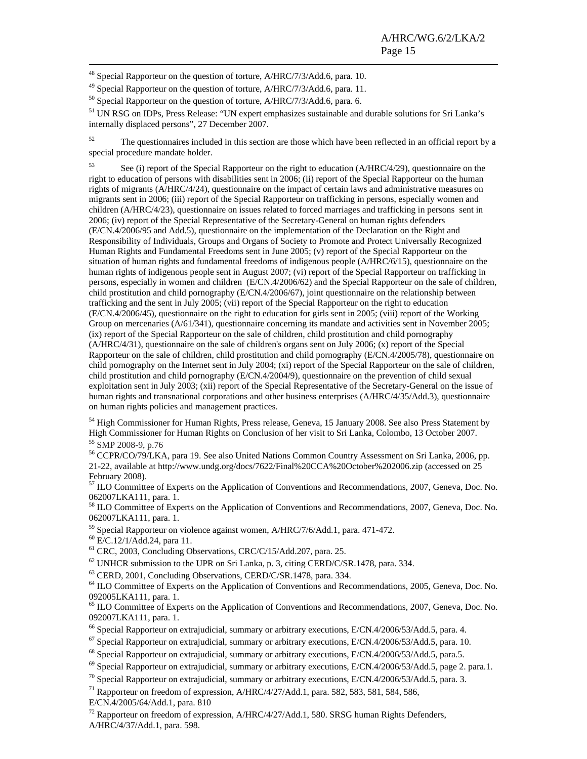<sup>48</sup> Special Rapporteur on the question of torture, A/HRC/7/3/Add.6, para. 10.

<sup>49</sup> Special Rapporteur on the question of torture, A/HRC/7/3/Add.6, para. 11.

<sup>50</sup> Special Rapporteur on the question of torture, A/HRC/7/3/Add.6, para. 6.

51 UN RSG on IDPs, Press Release: "UN expert emphasizes sustainable and durable solutions for Sri Lanka's internally displaced persons", 27 December 2007.

<sup>52</sup> The questionnaires included in this section are those which have been reflected in an official report by a special procedure mandate holder.

53 See (i) report of the Special Rapporteur on the right to education (A/HRC/4/29), questionnaire on the right to education of persons with disabilities sent in 2006; (ii) report of the Special Rapporteur on the human rights of migrants (A/HRC/4/24), questionnaire on the impact of certain laws and administrative measures on migrants sent in 2006; (iii) report of the Special Rapporteur on trafficking in persons, especially women and children (A/HRC/4/23), questionnaire on issues related to forced marriages and trafficking in persons sent in 2006; (iv) report of the Special Representative of the Secretary-General on human rights defenders (E/CN.4/2006/95 and Add.5), questionnaire on the implementation of the Declaration on the Right and Responsibility of Individuals, Groups and Organs of Society to Promote and Protect Universally Recognized Human Rights and Fundamental Freedoms sent in June 2005; (v) report of the Special Rapporteur on the situation of human rights and fundamental freedoms of indigenous people (A/HRC/6/15), questionnaire on the human rights of indigenous people sent in August 2007; (vi) report of the Special Rapporteur on trafficking in persons, especially in women and children (E/CN.4/2006/62) and the Special Rapporteur on the sale of children, child prostitution and child pornography (E/CN.4/2006/67), joint questionnaire on the relationship between trafficking and the sent in July 2005; (vii) report of the Special Rapporteur on the right to education (E/CN.4/2006/45), questionnaire on the right to education for girls sent in 2005; (viii) report of the Working Group on mercenaries (A/61/341), questionnaire concerning its mandate and activities sent in November 2005; (ix) report of the Special Rapporteur on the sale of children, child prostitution and child pornography (A/HRC/4/31), questionnaire on the sale of children's organs sent on July 2006; (x) report of the Special Rapporteur on the sale of children, child prostitution and child pornography (E/CN.4/2005/78), questionnaire on child pornography on the Internet sent in July 2004; (xi) report of the Special Rapporteur on the sale of children, child prostitution and child pornography (E/CN.4/2004/9), questionnaire on the prevention of child sexual exploitation sent in July 2003; (xii) report of the Special Representative of the Secretary-General on the issue of human rights and transnational corporations and other business enterprises (A/HRC/4/35/Add.3), questionnaire on human rights policies and management practices.

<sup>54</sup> High Commissioner for Human Rights, Press release, Geneva, 15 January 2008. See also Press Statement by High Commissioner for Human Rights on Conclusion of her visit to Sri Lanka, Colombo, 13 October 2007. <sup>55</sup> SMP 2008-9, p.76

56 CCPR/CO/79/LKA, para 19. See also United Nations Common Country Assessment on Sri Lanka, 2006, pp. 21-22, available at http://www.undg.org/docs/7622/Final%20CCA%20October%202006.zip (accessed on 25 February 2008).

<sup>57</sup> ILO Committee of Experts on the Application of Conventions and Recommendations, 2007, Geneva, Doc. No. 062007LKA111, para. 1.

58 ILO Committee of Experts on the Application of Conventions and Recommendations, 2007, Geneva, Doc. No. 062007LKA111, para. 1.

59 Special Rapporteur on violence against women, A/HRC/7/6/Add.1, para. 471-472.

60 E/C.12/1/Add.24, para 11.

61 CRC, 2003, Concluding Observations, CRC/C/15/Add.207, para. 25.

 $62$  UNHCR submission to the UPR on Sri Lanka, p. 3, citing CERD/C/SR.1478, para. 334.

63 CERD, 2001, Concluding Observations, CERD/C/SR.1478, para. 334.

<sup>64</sup> ILO Committee of Experts on the Application of Conventions and Recommendations, 2005, Geneva, Doc. No. 092005LKA111, para. 1.

<sup>65</sup> ILO Committee of Experts on the Application of Conventions and Recommendations, 2007, Geneva, Doc. No. 092007LKA111, para. 1.

<sup>66</sup> Special Rapporteur on extrajudicial, summary or arbitrary executions, E/CN.4/2006/53/Add.5, para. 4.<br><sup>67</sup> Special Rapporteur on extrajudicial, summary or arbitrary executions, E/CN.4/2006/53/Add.5, para. 10.<br><sup>68</sup> Spe

E/CN.4/2005/64/Add.1, para. 810

<sup>72</sup> Rapporteur on freedom of expression,  $A/HRC/4/27/Add.1$ , 580. SRSG human Rights Defenders, A/HRC/4/37/Add.1, para. 598.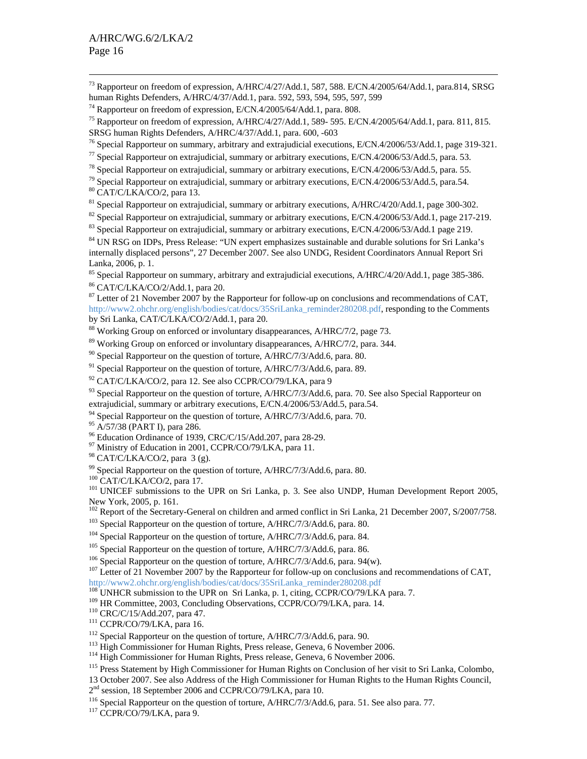<sup>73</sup> Rapporteur on freedom of expression, A/HRC/4/27/Add.1, 587, 588. E/CN.4/2005/64/Add.1, para.814, SRSG human Rights Defenders, A/HRC/4/37/Add.1, para. 592, 593, 594, 595, 597, 599

<sup>76</sup> Special Rapporteur on summary, arbitrary and extrajudicial executions, E/CN.4/2006/53/Add.1, page 319-321.<br><sup>77</sup> Special Rapporteur on extrajudicial, summary or arbitrary executions, E/CN.4/2006/53/Add.5, para. 53.<br><sup>7</sup>

<sup>81</sup> Special Rapporteur on extrajudicial, summary or arbitrary executions, A/HRC/4/20/Add.1, page 300-302.

<sup>82</sup> Special Rapporteur on extrajudicial, summary or arbitrary executions, E/CN.4/2006/53/Add.1, page 217-219.<br><sup>83</sup> Special Rapporteur on extrajudicial, summary or arbitrary executions, E/CN.4/2006/53/Add.1 page 219.<br><sup>84</sup>

internally displaced persons", 27 December 2007. See also UNDG, Resident Coordinators Annual Report Sri Lanka, 2006, p. 1.

85 Special Rapporteur on summary, arbitrary and extrajudicial executions, A/HRC/4/20/Add.1, page 385-386.

86 CAT/C/LKA/CO/2/Add.1, para 20.

<sup>87</sup> Letter of 21 November 2007 by the Rapporteur for follow-up on conclusions and recommendations of CAT, http://www2.ohchr.org/english/bodies/cat/docs/35SriLanka\_reminder280208.pdf, responding to the Comments by Sri Lanka, CAT/C/LKA/CO/2/Add.1, para 20.

<sup>88</sup> Working Group on enforced or involuntary disappearances, A/HRC/7/2, page 73.

<sup>89</sup> Working Group on enforced or involuntary disappearances, A/HRC/7/2, para. 344.

 $90$  Special Rapporteur on the question of torture, A/HRC/7/3/Add.6, para. 80.

 $91$  Special Rapporteur on the question of torture, A/HRC/7/3/Add.6, para. 89.

 $92$  CAT/C/LKA/CO/2, para 12. See also CCPR/CO/79/LKA, para 9

<sup>93</sup> Special Rapporteur on the question of torture, A/HRC/7/3/Add.6, para. 70. See also Special Rapporteur on extrajudicial, summary or arbitrary executions, E/CN.4/2006/53/Add.5, para.54.

<sup>94</sup> Special Rapporteur on the question of torture, A/HRC/7/3/Add.6, para. 70.

95 A/57/38 (PART I), para 286.

96 Education Ordinance of 1939, CRC/C/15/Add.207, para 28-29.

<sup>97</sup> Ministry of Education in 2001, CCPR/CO/79/LKA, para 11.

98 CAT/C/LKA/CO/2, para 3 (g).

<sup>99</sup> Special Rapporteur on the question of torture, A/HRC/7/3/Add.6, para. 80.  $^{100}$  CAT/C/LKA/CO/2, para 17.

<sup>101</sup> UNICEF submissions to the UPR on Sri Lanka, p. 3. See also UNDP, Human Development Report 2005, New York, 2005, p. 161.

<sup>102</sup> Report of the Secretary-General on children and armed conflict in Sri Lanka, 21 December 2007, S/2007/758.<br><sup>103</sup> Special Rapporteur on the question of torture, A/HRC/7/3/Add.6, para. 80.<br><sup>104</sup> Special Rapporteur on

http://www2.ohchr.org/english/bodies/cat/docs/35SriLanka\_reminder280208.pdf<br><sup>108</sup> UNHCR submission to the UPR on Sri Lanka, p. 1, citing, CCPR/CO/79/LKA para. 7.

<sup>109</sup> HR Committee, 2003, Concluding Observations, CCPR/CO/79/LKA, para. 14.<br><sup>110</sup> CRC/C/15/Add.207, para 47.<br><sup>111</sup> CCPR/CO/79/LKA, para 16.<br><sup>112</sup> Special Rapporteur on the question of torture, A/HRC/7/3/Add.6, para. 90.<br><sup></sup>

13 October 2007. See also Address of the High Commissioner for Human Rights to the Human Rights Council,  $2^{nd}$  session, 18 September 2006 and CCPR/CO/79/LKA, para 10.

<sup>116</sup> Special Rapporteur on the question of torture, A/HRC/7/3/Add.6, para. 51. See also para. 77. <sup>117</sup> CCPR/CO/79/LKA, para 9.

<sup>&</sup>lt;sup>74</sup> Rapporteur on freedom of expression, E/CN.4/2005/64/Add.1, para. 808.<br><sup>75</sup> Rapporteur on freedom of expression, A/HRC/4/27/Add.1, 589- 595. E/CN.4/2005/64/Add.1, para. 811, 815. SRSG human Rights Defenders, A/HRC/4/37/Add.1, para. 600, -603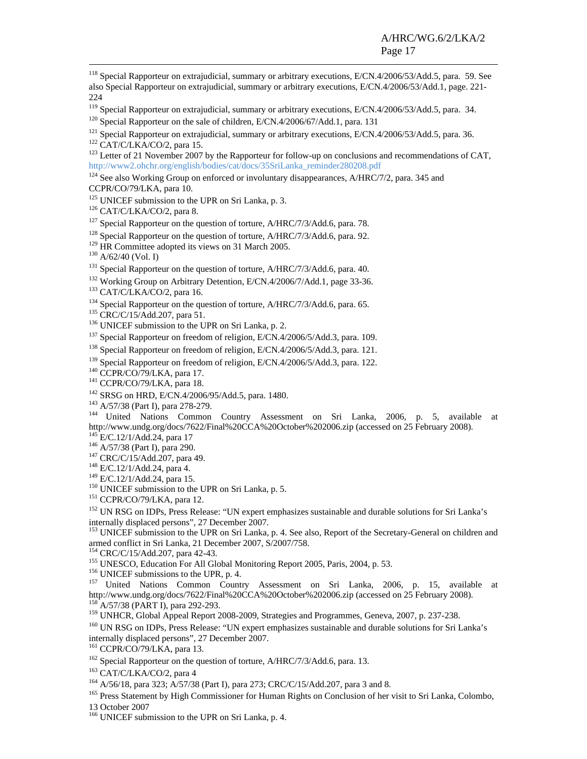<sup>118</sup> Special Rapporteur on extrajudicial, summary or arbitrary executions, E/CN.4/2006/53/Add.5, para. 59. See also Special Rapporteur on extrajudicial, summary or arbitrary executions, E/CN.4/2006/53/Add.1, page. 221- 224

<sup>119</sup> Special Rapporteur on extrajudicial, summary or arbitrary executions, E/CN.4/2006/53/Add.5, para. 34.<br><sup>120</sup> Special Rapporteur on the sale of children, E/CN.4/2006/67/Add.1, para. 131<br><sup>121</sup> Special Rapporteur on ext

 $124$  See also Working Group on enforced or involuntary disappearances, A/HRC/7/2, para. 345 and

CCPR/CO/79/LKA, para 10.

<sup>125</sup> UNICEF submission to the UPR on Sri Lanka, p. 3.<br><sup>125</sup> CAT/C/LKA/CO/2, para 8.<br><sup>129</sup> CAT/C/LKA/CO/2, para 8.<br><sup>129</sup> Special Rapporteur on the question of torture, A/HRC/7/3/Add.6, para. 78.<br><sup>129</sup> Special Rapporteur o <sup>144</sup> United Nations Common Country Assessment on Sri Lanka, 2006, p. 5, available at<br>http://www.undg.org/docs/7622/Final%20CCA%20October%202006.zip (accessed on 25 February 2008).<br><sup>145</sup> E/C.12/1/Add.24, para 17<br><sup>146</sup> A/5

internally displaced persons", 27 December 2007.

<sup>153</sup> UNICEF submission to the UPR on Sri Lanka, p. 4. See also, Report of the Secretary-General on children and armed conflict in Sri Lanka, 21 December 2007, S/2007/758.<br><sup>154</sup> CRC/C/15/Add.207, para 42-43.

<sup>155</sup> UNESCO, Education For All Global Monitoring Report 2005, Paris, 2004, p. 53.<br><sup>156</sup> UNICEF submissions to the UPR, p. 4.<br><sup>157</sup> United Nations Common Country Assessment on Sri Lanka, 2006, p. 15, available at<br>http://w

 $^{158}$  A/57/38 (PART I), para 292-293.<br><sup>159</sup> UNHCR, Global Appeal Report 2008-2009, Strategies and Programmes, Geneva, 2007, p. 237-238.<br><sup>160</sup> UN RSG on IDPs, Press Release: "UN expert emphasizes sustainable and durable internally displaced persons", 27 December 2007.<br><sup>161</sup> CCPR/CO/79/LKA, para 13.

<sup>162</sup> Special Rapporteur on the question of torture, A/HRC/7/3/Add.6, para. 13.<br><sup>163</sup> CAT/C/LKA/CO/2, para 4<br><sup>164</sup> A/56/18, para 323; A/57/38 (Part I), para 273; CRC/C/15/Add.207, para 3 and 8.<br><sup>165</sup> Press Statement by Hi 13 October 2007

<sup>166</sup> UNICEF submission to the UPR on Sri Lanka, p. 4.